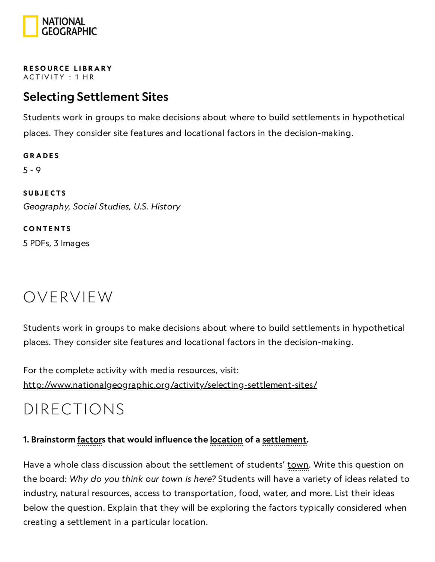

RESOURCE LIBRA[RY](https://www.nationalgeographic.org/education/resource-library/) ACTIVITY: 1 HR

## Selecting Settlement Sites

Students work in groups to make decisions about where to build settlements in hypothetical places. They consider site features and locational factors in the decision-making.

**GRADES** 5 - 9 **SUBJECTS** Geography, Social Studies, U.S. History

**CONTENTS** 5 PDFs, 3 Images

## OVERVIEW

Students work in groups to make decisions about where to build settlements in hypothetical places. They consider site features and locational factors in the decision-making.

For the complete activity with media resources, visit: <http://www.nationalgeographic.org/activity/selecting-settlement-sites/>

## DIRECTIONS

### 1. Brainstorm factors that would influence the <u>location</u> of a settlement.

Have a whole class discussion about the settlement of students' <u>town</u>. Write this question on the board: Why do you think our town is here? Students will have a variety of ideas related to industry, natural resources, access to transportation, food, water, and more. List their ideas below the question. Explain that they will be exploring the factors typically considered when creating a settlement in a particular location.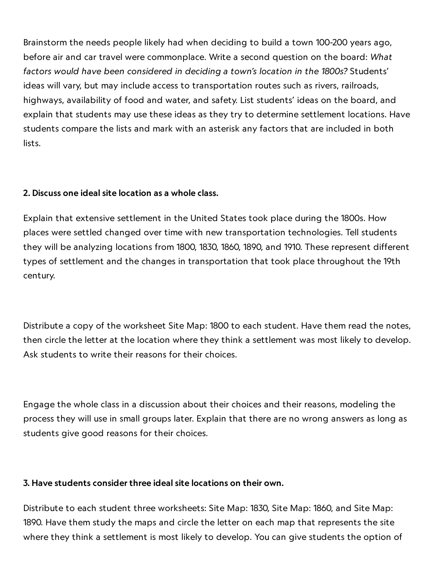Brainstorm the needs people likely had when deciding to build a town 100-200 years ago, before air and car travel were commonplace. Write a second question on the board: What factors would have been considered in deciding a town's location in the 1800s? Students' ideas will vary, but may include access to transportation routes such as rivers, railroads, highways, availability of food and water, and safety. List students' ideas on the board, and explain that students may use these ideas as they try to determine settlement locations. Have students compare the lists and mark with an asterisk any factors that are included in both lists.

### 2. Discuss one ideal site location as a whole class.

Explain that extensive settlement in the United States took place during the 1800s. How places were settled changed over time with new transportation technologies. Tell students they will be analyzing locations from 1800, 1830, 1860, 1890, and 1910. These represent different types of settlement and the changes in transportation that took place throughout the 19th century.

Distribute a copy of the worksheet Site Map: 1800 to each student. Have them read the notes, then circle the letter at the location where they think a settlement was most likely to develop. Ask students to write their reasons for their choices.

Engage the whole class in a discussion about their choices and their reasons, modeling the process they will use in small groups later. Explain that there are no wrong answers as long as students give good reasons for their choices.

### 3. Have students consider three ideal site locations on their own.

Distribute to each student three worksheets: Site Map: 1830, Site Map: 1860, and Site Map: 1890. Have them study the maps and circle the letter on each map that represents the site where they think a settlement is most likely to develop. You can give students the option of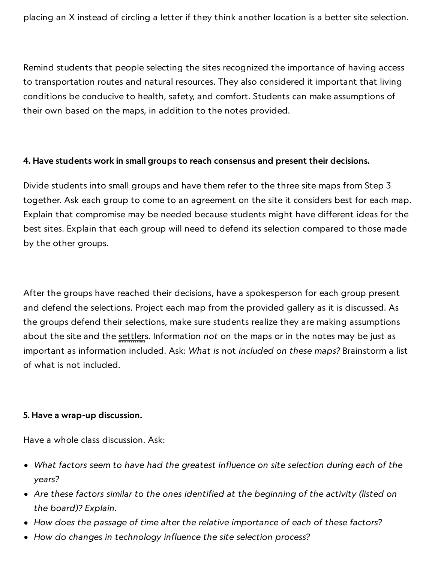placing an X instead of circling a letter if they think another location is a better site selection.

Remind students that people selecting the sites recognized the importance of having access to transportation routes and natural resources. They also considered it important that living conditions be conducive to health, safety, and comfort. Students can make assumptions of their own based on the maps, in addition to the notes provided.

#### 4. Have students work in small groups to reach consensus and present their decisions.

Divide students into small groups and have them refer to the three site maps from Step 3 together. Ask each group to come to an agreement on the site it considers best for each map. Explain that compromise may be needed because students might have different ideas for the best sites. Explain that each group will need to defend its selection compared to those made by the other groups.

After the groups have reached their decisions, have a spokesperson for each group present and defend the selections. Project each map from the provided gallery as it is discussed. As the groups defend their selections, make sure students realize they are making assumptions about the site and the settlers. Information not on the maps or in the notes may be just as important as information included. Ask: What is not included on these maps? Brainstorm a list of what is not included.

#### 5. Have a wrap-up discussion.

Have a whole class discussion. Ask:

- What factors seem to have had the greatest influence on site selection during each of the years?
- Are these factors similar to the ones identified at the beginning of the activity (listed on the board)? Explain.
- How does the passage of time alter the relative importance of each of these factors?
- How do changes in technology influence the site selection process?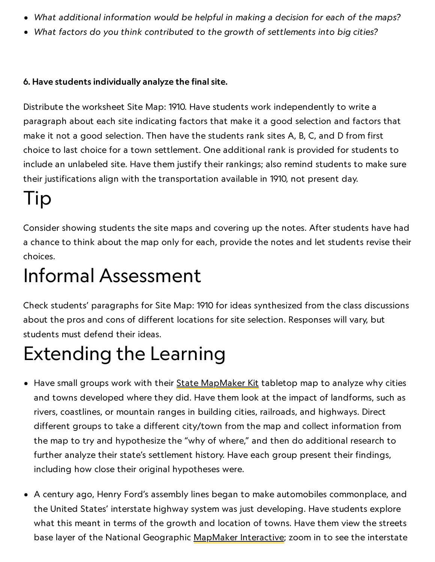- What additional information would be helpful in making a decision for each of the maps?
- What factors do you think contributed to the growth of settlements into big cities?

### 6. Have students individually analyze the final site.

Distribute the worksheet Site Map: 1910. Have students work independently to write a paragraph about each site indicating factors that make it a good selection and factors that make it not a good selection. Then have the students rank sites A, B, C, and D from first choice to last choice for a town settlement. One additional rank is provided for students to include an unlabeled site. Have them justify their rankings; also remind students to make sure their justifications align with the transportation available in 1910, not present day.

# Tip

Consider showing students the site maps and covering up the notes. After students have had a chance to think about the map only for each, provide the notes and let students revise their choices.

## Informal Assessment

Check students' paragraphs for Site Map: 1910 for ideas synthesized from the class discussions about the pros and cons of different locations for site selection. Responses will vary, but students must defend their ideas.

# Extending the Learning

- Have small groups work with their State [MapMaker](http://education.nationalgeographic.com/education/topics/state-mapmaker-kits/?ar_a=1) Kit tabletop map to analyze why cities and towns developed where they did. Have them look at the impact of landforms, such as rivers, coastlines, or mountain ranges in building cities, railroads, and highways. Direct different groups to take a different city/town from the map and collect information from the map to try and hypothesize the "why of where," and then do additional research to further analyze their state's settlement history. Have each group present their findings, including how close their original hypotheses were.
- A century ago, Henry Ford's assembly lines began to make automobiles commonplace, and the United States' interstate highway system was just developing. Have students explore what this meant in terms of the growth and location of towns. Have them view the streets base layer of the National Geographic [MapMaker](http://education.nationalgeographic.com/education/mapping/interactive-map/?ar_a=1) Interactive; zoom in to see the interstate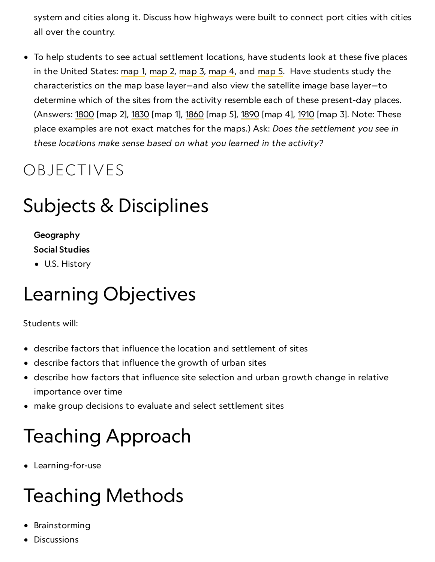system and cities along it. Discuss how highways were built to connect port cities with cities all over the country.

To help students to see actual settlement locations, have students look at these five places in the United States: [map](http://education.nationalgeographic.com/education/mapping/interactive-map/?ar_a=1&b=0&f=481&ls=800007&t=2&bbox=-70.70913,41.71481,-70.54640,41.78179) 1, map 2, map 3, map 4, and map 5. Have students study the characteristics on the map base layer—and also view the satellite image base layer—to determine which of the sites from the activity resemble each of these present-day places. (Answers: [1800](http://education.nationalgeographic.com/education/mapping/interactive-map/?ls=800007&f=481&t=1&b=0&bbox=-78.79223%2C33.76413%2C-77.49035%2C34.35914) [map 2], [1830](http://education.nationalgeographic.com/education/mapping/interactive-map/?ls=800007&f=481&t=1&b=0&bbox=-94.61332%2C29.45617%2C-93.31144%2C30.07962) [map 1], [1860](http://education.nationalgeographic.com/education/mapping/interactive-map/?ls=800007&f=481&t=1&b=0&bbox=-90.45628%2C35.08182%2C-89.80534%2C35.37516) [map 5], [1890](http://education.nationalgeographic.com/education/mapping/interactive-map/?ls=800007&f=481&t=2&b=0&bbox=-92.81088%2C41.91287%2C-92.15994%2C42.17955) [map 4], [1910](http://education.nationalgeographic.com/education/mapping/interactive-map/?ls=800007&f=481&t=1&b=0&bbox=-117.21623%2C48.12368%2C-116.89076%2C48.24340) [map 3]. Note: These place examples are not exact matches for the maps.) Ask: Does the settlement you see in these locations make sense based on what you learned in the activity?

## OBJECTIVES

## Subjects & Disciplines

## Geography

Social Studies

U.S. History

# Learning Objectives

### Students will:

- describe factors that influence the location and settlement of sites
- describe factors that influence the growth of urban sites
- describe how factors that influence site selection and urban growth change in relative importance over time
- make group decisions to evaluate and select settlement sites

# Teaching Approach

Learning-for-use

# Teaching Methods

- Brainstorming
- **Discussions**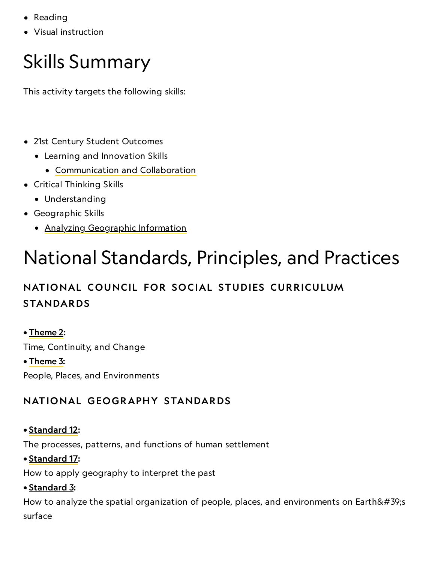- Reading
- Visual instruction

# Skills Summary

This activity targets the following skills:

- 21st Century Student Outcomes
	- Learning and Innovation Skills
		- [Communication](http://www.p21.org/index.php?option=com_content&task=view&id=261&Itemid=120) and Collaboration
- Critical Thinking Skills
	- Understanding
- Geographic Skills
	- Analyzing [Geographic](http://education.nationalgeographic.com/education/geographic-skills/4/?ar_a=1) Information

# National Standards, Principles, and Practices

## NATIONAL COUNCIL FOR SOCIAL STUDIES CURRICULUM STANDARDS

## • [Theme](http://www.socialstudies.org/standards/strands#II) 2:

Time, Continuity, and Change

### • <u>[Theme](http://www.socialstudies.org/standards/strands#III) 3</u>:

People, Places, and Environments

## NATIONAL GEOGRAPHY STANDARDS

## • [Standard](https://www.nationalgeographic.org/education/standards/national-geography-standards/12/) 12:

The processes, patterns, and functions of human settlement

### • [Standard](https://www.nationalgeographic.org/education/standards/national-geography-standards/17/) 17:

How to apply geography to interpret the past

• [Standard](https://www.nationalgeographic.org/education/standards/national-geography-standards/3/) 3:

How to analyze the spatial organization of people, places, and environments on Earth $&\#39$ ; s surface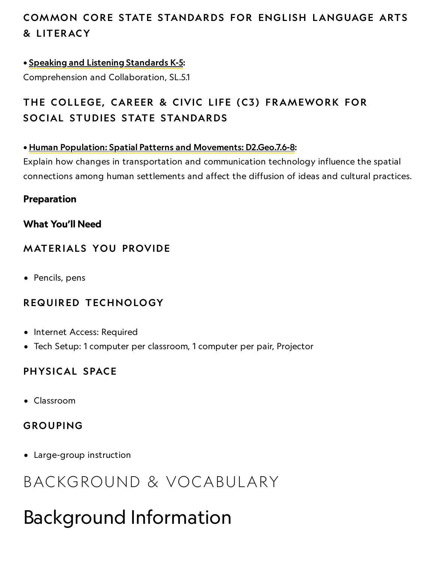## COMMON CORE STATE STANDARDS FOR ENGLISH LANGUAGE ARTS & L ITERACY

### • Speaking and Listening [Standards](http://www.corestandards.org/ELA-Literacy/SL/5) K-5:

Comprehension and Collaboration, SL.5.1

## THE COLLEGE, CAREER & CIVIC LIFE (C3) FRAMEWORK FOR SOCIAL STUDIES STATE STANDARDS

### • Human Population: Spatial Patterns and [Movements:](http://education.nationalgeographic.com/education/media/college-career-and-civic-life-c3-framework-social-studies-state-standards/?ar_a=1) D2.Geo.7.6-8:

Explain how changes in transportation and communication technology influence the spatial connections among human settlements and affect the diffusion of ideas and cultural practices.

### Preparation

### What You'll Need

## **MATERIALS YOU PROVIDE**

• Pencils, pens

## REQUIRED TECHNOLOGY

- Internet Access: Required
- Tech Setup: 1 computer per classroom, 1 computer per pair, Projector

## PHYSICAL SPACE

Classroom

### GROUPING

Large-group instruction

## BACKGROUND & VOCABULARY

## Background Information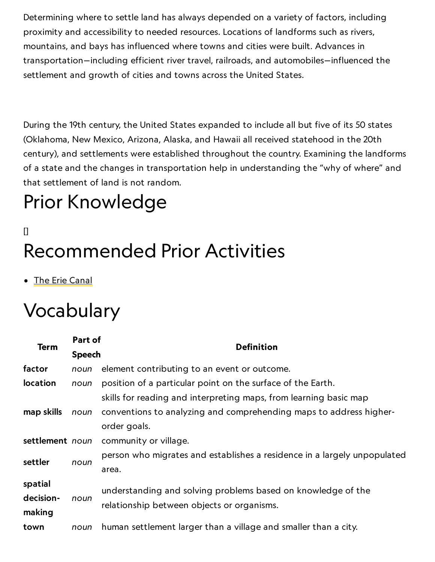Determining where to settle land has always depended on a variety of factors, including proximity and accessibility to needed resources. Locations of landforms such as rivers, mountains, and bays has influenced where towns and cities were built. Advances in transportation—including efficient river travel, railroads, and automobiles—influenced the settlement and growth of cities and towns across the United States.

During the 19th century, the United States expanded to include all but five of its 50 states (Oklahoma, New Mexico, Arizona, Alaska, and Hawaii all received statehood in the 20th century), and settlements were established throughout the country. Examining the landforms of a state and the changes in transportation help in understanding the "why of where" and that settlement of land is not random.

# Prior Knowledge

## $\mathsf{I}$ Recommended Prior Activities

**•** The Erie [Canal](https://www.nationalgeographic.org/activity/the-erie-canal/)

## Vocabulary

| <b>Term</b>     | Part of       | <b>Definition</b>                                                        |
|-----------------|---------------|--------------------------------------------------------------------------|
|                 | <b>Speech</b> |                                                                          |
| factor          | noun          | element contributing to an event or outcome.                             |
| <b>location</b> | noun          | position of a particular point on the surface of the Earth.              |
|                 |               | skills for reading and interpreting maps, from learning basic map        |
| map skills      | noun          | conventions to analyzing and comprehending maps to address higher-       |
|                 |               | order goals.                                                             |
| settlement noun |               | community or village.                                                    |
| settler         | noun          | person who migrates and establishes a residence in a largely unpopulated |
|                 |               | area.                                                                    |
| spatial         | noun          | understanding and solving problems based on knowledge of the             |
| decision-       |               | relationship between objects or organisms.                               |
| making          |               |                                                                          |
| town            | noun          | human settlement larger than a village and smaller than a city.          |